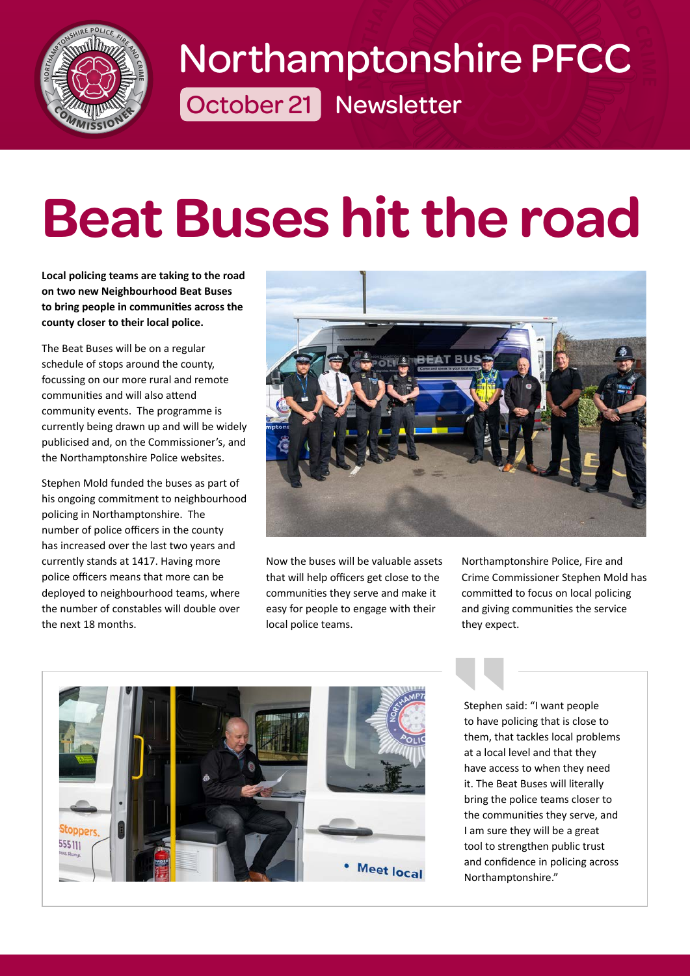

# **October 21 Newsletter O** ELECTRIC DECO [Northamptonshire PFCC](https://www.northantspfcc.org.uk/newsletters/newsletters-2021/newsletter-october-2021/#section-1)

## **It** the road **[Beat Buses hit the road](https://www.northantspfcc.org.uk/newsletters/newsletters-2021/newsletter-october-2021/#section-2)**

**Local policing teams are taking to the road on two new Neighbourhood Beat Buses to bring people in communities across the county closer to their local police.**

The Beat Buses will be on a regular schedule of stops around the county, focussing on our more rural and remote communities and will also attend community events. The programme is currently being drawn up and will be widely publicised and, on the Commissioner's, and the Northamptonshire Police websites.

Stephen Mold funded the buses as part of his ongoing commitment to neighbourhood policing in Northamptonshire. The number of police officers in the county has increased over the last two years and currently stands at 1417. Having more police officers means that more can be deployed to neighbourhood teams, where the number of constables will double over the next 18 months.



Now the buses will be valuable assets that will help officers get close to the communities they serve and make it easy for people to engage with their local police teams.

Northamptonshire Police, Fire and Crime Commissioner Stephen Mold has committed to focus on local policing and giving communities the service they expect.



Stephen s<br>to have p<br>them, that a local<br>have acce<br>it. The Be<br>bring the comm Stephen said: "I want people to have policing that is close to them, that tackles local problems at a local level and that they have access to when they need it. The Beat Buses will literally bring the police teams closer to the communities they serve, and I am sure they will be a great tool to strengthen public trust and confidence in policing across Northamptonshire."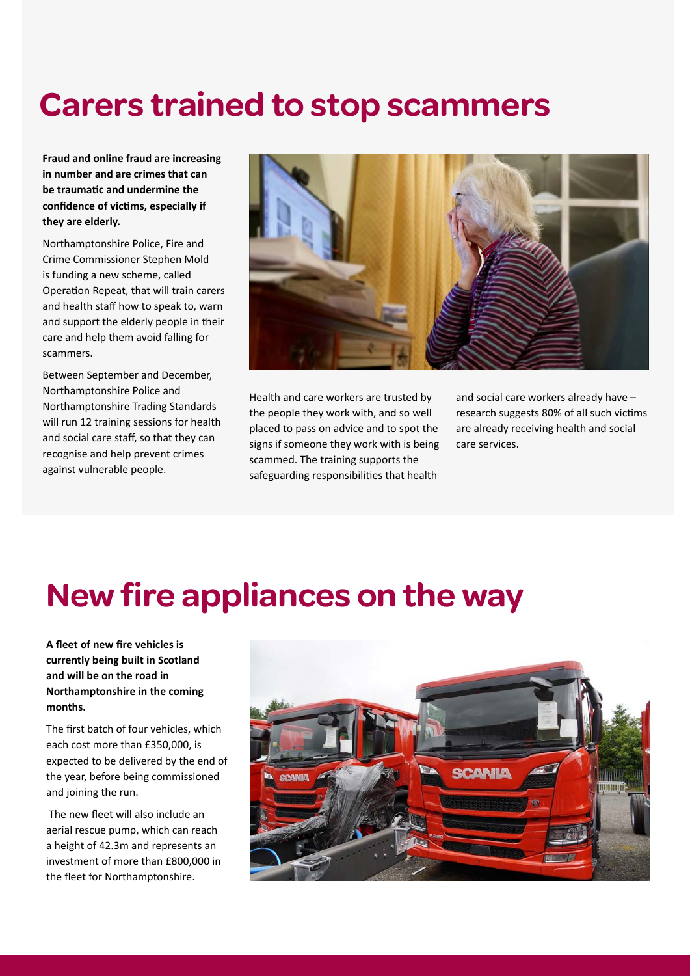#### **[Carers trained to stop scammers](https://www.northantspfcc.org.uk/newsletters/newsletters-2021/newsletter-october-2021/#section-3)**

**Fraud and online fraud are increasing in number and are crimes that can be traumatic and undermine the confidence of victims, especially if they are elderly.**

Northamptonshire Police, Fire and Crime Commissioner Stephen Mold is funding a new scheme, called Operation Repeat, that will train carers and health staff how to speak to, warn and support the elderly people in their care and help them avoid falling for scammers.

Between September and December, Northamptonshire Police and Northamptonshire Trading Standards will run 12 training sessions for health and social care staff, so that they can recognise and help prevent crimes against vulnerable people.



Health and care workers are trusted by the people they work with, and so well placed to pass on advice and to spot the signs if someone they work with is being scammed. The training supports the safeguarding responsibilities that health

and social care workers already have – research suggests 80% of all such victims are already receiving health and social care services.

#### **[New fire appliances on the way](https://www.northantspfcc.org.uk/newsletters/newsletters-2021/newsletter-october-2021/#section-4)**

**A fleet of new fire vehicles is currently being built in Scotland and will be on the road in Northamptonshire in the coming months.** 

The first batch of four vehicles, which each cost more than £350,000, is expected to be delivered by the end of the year, before being commissioned and joining the run.

 The new fleet will also include an aerial rescue pump, which can reach a height of 42.3m and represents an investment of more than £800,000 in the fleet for Northamptonshire.

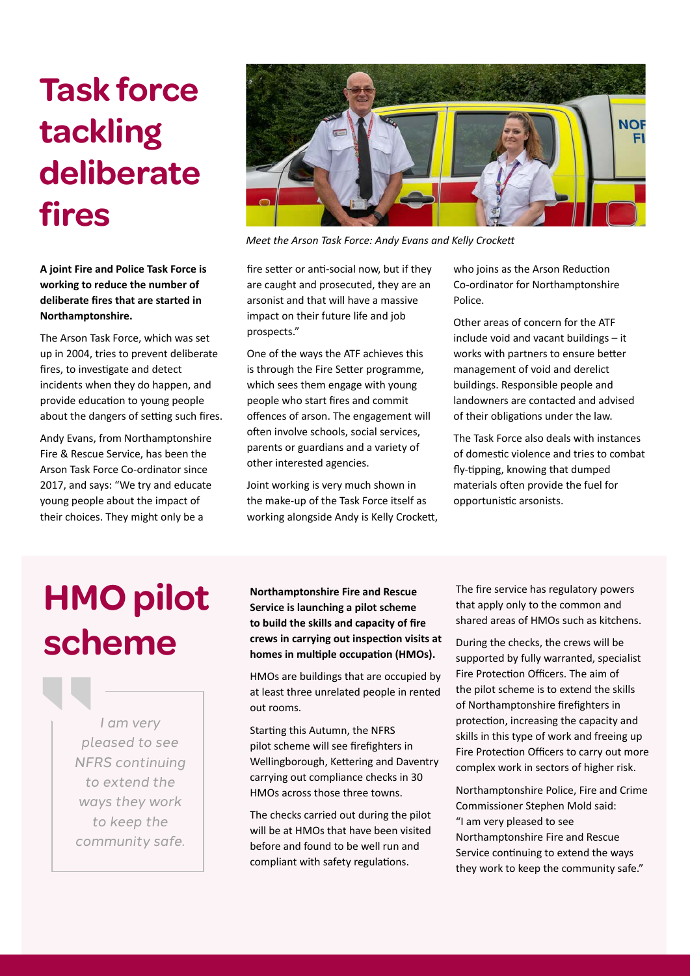### **Task force tackling [deliberate](https://www.northantspfcc.org.uk/newsletters/newsletters-2021/newsletter-october-2021/#section-5)  fires**

**A joint Fire and Police Task Force is working to reduce the number of deliberate fires that are started in Northamptonshire.**

The Arson Task Force, which was set up in 2004, tries to prevent deliberate fires, to investigate and detect incidents when they do happen, and provide education to young people about the dangers of setting such fires.

Andy Evans, from Northamptonshire Fire & Rescue Service, has been the Arson Task Force Co-ordinator since 2017, and says: "We try and educate young people about the impact of their choices. They might only be a



*Meet the Arson Task Force: Andy Evans and Kelly Crockett*

fire setter or anti-social now, but if they are caught and prosecuted, they are an arsonist and that will have a massive impact on their future life and job prospects."

One of the ways the ATF achieves this is through the Fire Setter programme, which sees them engage with young people who start fires and commit offences of arson. The engagement will often involve schools, social services, parents or guardians and a variety of other interested agencies.

Joint working is very much shown in the make-up of the Task Force itself as working alongside Andy is Kelly Crockett, who joins as the Arson Reduction Co-ordinator for Northamptonshire Police.

Other areas of concern for the ATF include void and vacant buildings – it works with partners to ensure better management of void and derelict buildings. Responsible people and landowners are contacted and advised of their obligations under the law.

The Task Force also deals with instances of domestic violence and tries to combat fly-tipping, knowing that dumped materials often provide the fuel for opportunistic arsonists.

## **HMO pilot scheme**

|<br>| pl<br>| NFI<br>| tc<br>| wc<br>| *I am very pleased to see NFRS continuing to extend the ways they work to keep the community safe.*

**Northamptonshire Fire and Rescue Service is launching a pilot scheme to build the skills and capacity of fire crews in carrying out inspection visits at homes in multiple occupation (HMOs).**

HMOs are buildings that are occupied by at least three unrelated people in rented out rooms.

Starting this Autumn, the NFRS pilot scheme will see firefighters in Wellingborough, Kettering and Daventry carrying out compliance checks in 30 HMOs across those three towns.

The checks carried out during the pilot will be at HMOs that have been visited before and found to be well run and compliant with safety regulations.

The fire service has regulatory powers that apply only to the common and shared areas of HMOs such as kitchens.

During the checks, the crews will be supported by fully warranted, specialist Fire Protection Officers. The aim of the pilot scheme is to extend the skills of Northamptonshire firefighters in protection, increasing the capacity and skills in this type of work and freeing up Fire Protection Officers to carry out more complex work in sectors of higher risk.

Northamptonshire Police, Fire and Crime Commissioner Stephen Mold said: "I am very pleased to see Northamptonshire Fire and Rescue Service continuing to extend the ways they work to keep the community safe."